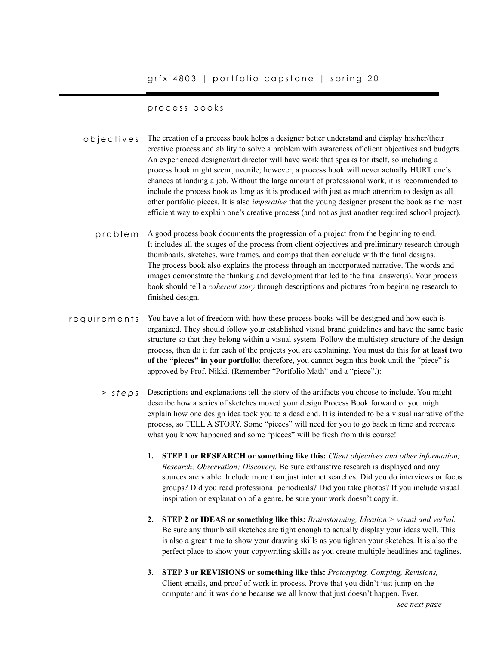# process books

- The creation of a process book helps a designer better understand and display his/her/their creative process and ability to solve a problem with awareness of client objectives and budgets. An experienced designer/art director will have work that speaks for itself, so including a process book might seem juvenile; however, a process book will never actually HURT one's chances at landing a job. Without the large amount of professional work, it is recommended to include the process book as long as it is produced with just as much attention to design as all other portfolio pieces. It is also *imperative* that the young designer present the book as the most efficient way to explain one's creative process (and not as just another required school project). objectives
	- A good process book documents the progression of a project from the beginning to end. It includes all the stages of the process from client objectives and preliminary research through thumbnails, sketches, wire frames, and comps that then conclude with the final designs. The process book also explains the process through an incorporated narrative. The words and images demonstrate the thinking and development that led to the final answer(s). Your process book should tell a *coherent story* through descriptions and pictures from beginning research to finished design. problem
- You have a lot of freedom with how these process books will be designed and how each is organized. They should follow your established visual brand guidelines and have the same basic structure so that they belong within a visual system. Follow the multistep structure of the design process, then do it for each of the projects you are explaining. You must do this for **at least two of the "pieces" in your portfolio**; therefore, you cannot begin this book until the "piece" is approved by Prof. Nikki. (Remember "Portfolio Math" and a "piece".): requirements
	- Descriptions and explanations tell the story of the artifacts you choose to include. You might *> steps*describe how a series of sketches moved your design Process Book forward or you might explain how one design idea took you to a dead end. It is intended to be a visual narrative of the process, so TELL A STORY. Some "pieces" will need for you to go back in time and recreate what you know happened and some "pieces" will be fresh from this course!
		- **1. STEP 1 or RESEARCH or something like this:** *Client objectives and other information; Research; Observation; Discovery.* Be sure exhaustive research is displayed and any sources are viable. Include more than just internet searches. Did you do interviews or focus groups? Did you read professional periodicals? Did you take photos? If you include visual inspiration or explanation of a genre, be sure your work doesn't copy it.
		- **2. STEP 2 or IDEAS or something like this:** *Brainstorming, Ideation > visual and verbal.*  Be sure any thumbnail sketches are tight enough to actually display your ideas well. This is also a great time to show your drawing skills as you tighten your sketches. It is also the perfect place to show your copywriting skills as you create multiple headlines and taglines.
		- **3. STEP 3 or REVISIONS or something like this:** *Prototyping, Comping, Revisions,* Client emails, and proof of work in process. Prove that you didn't just jump on the computer and it was done because we all know that just doesn't happen. Ever.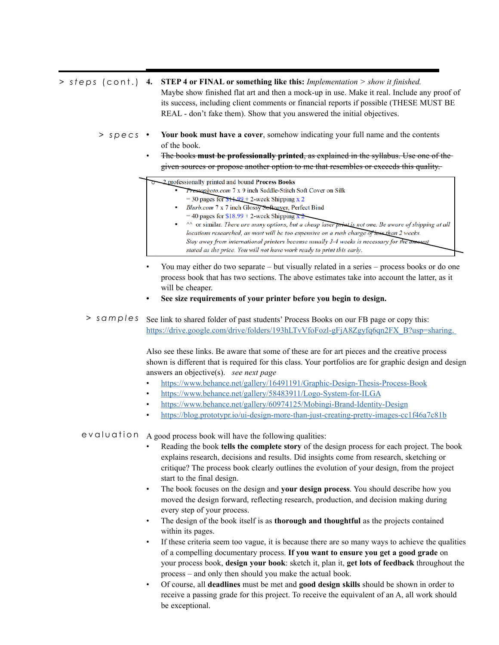**4. STEP 4 or FINAL or something like this:** *Implementation > show it finished. > steps* (cont.)

Maybe show finished flat art and then a mock-up in use. Make it real. Include any proof of its success, including client comments or financial reports if possible (THESE MUST BE REAL - don't fake them). Show that you answered the initial objectives.

- **• Your book must have a cover**, somehow indicating your full name and the contents of the book. *> specs*
	- The books **must be professionally printed**, as explained in the syllabus. Use one of the given sources or propose another option to me that resembles or exceeds this quality.

• 2 professionally printed and bound Process Books

- Prestophoto.com 7 x 9 inch Saddle-Stitch Soft Cover on Silk
- = 30 pages for  $$11.99 + 2$ -week Shipping x 2
	- Blurb.com 7 x 7 inch Glossy Softcover, Perfect Bind
	- = 40 pages for  $$18.99 + 2$ -week Shipping x
	- $\sim$  or similar. There are many options, but a cheap laser print is not one. Be aware of shipping at all locations researched, as most will be too expensive on a rush charge of less than 2 weeks. Stay away from international printers because usually 3-4 weeks is necessary for the amount stated as the price. You will not have work ready to print this early.
- You may either do two separate but visually related in a series process books or do one process book that has two sections. The above estimates take into account the latter, as it will be cheaper.
- **• See size requirements of your printer before you begin to design.**
- > samples See link to shared folder of past students' Process Books on our FB page or copy this: [https://drive.google.com/drive/folders/193hLTvVfoFozl-gFjA8Zgyfq6qn2FX\\_B?usp=sharing.](https://drive.google.com/drive/folders/193hLTvVfoFozl-gFjA8Zgyfq6qn2FX_B?usp=sharing)

Also see these links. Be aware that some of these are for art pieces and the creative process shown is different that is required for this class. Your portfolios are for graphic design and design answers an objective(s). *see next page*

- <https://www.behance.net/gallery/16491191/Graphic-Design-Thesis-Process-Book>
- <https://www.behance.net/gallery/58483911/Logo-System-for-ILGA>
- <https://www.behance.net/gallery/60974125/Mobingi-Brand-Identity-Design>
- <https://blog.prototypr.io/ui-design-more-than-just-creating-pretty-images-cc1f46a7c81b>

evaluation A good process book will have the following qualities:

- Reading the book **tells the complete story** of the design process for each project. The book explains research, decisions and results. Did insights come from research, sketching or critique? The process book clearly outlines the evolution of your design, from the project start to the final design.
- The book focuses on the design and **your design process**. You should describe how you moved the design forward, reflecting research, production, and decision making during every step of your process.
- The design of the book itself is as **thorough and thoughtful** as the projects contained within its pages.
- If these criteria seem too vague, it is because there are so many ways to achieve the qualities of a compelling documentary process. **If you want to ensure you get a good grade** on your process book, **design your book**: sketch it, plan it, **get lots of feedback** throughout the process – and only then should you make the actual book.
- Of course, all **deadlines** must be met and **good design skills** should be shown in order to receive a passing grade for this project. To receive the equivalent of an A, all work should be exceptional.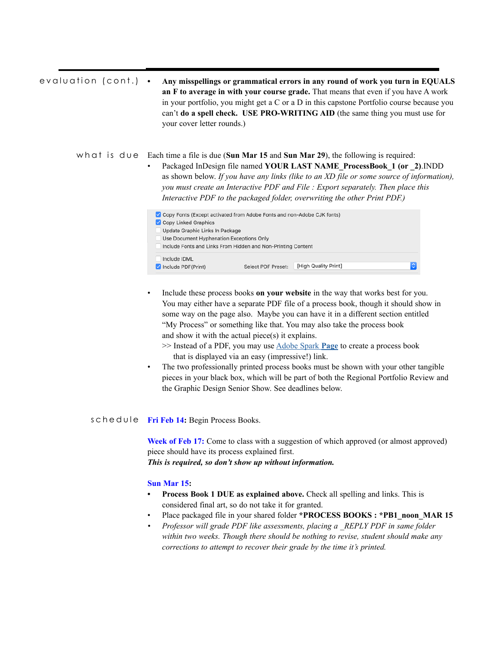| evaluation (cont.) | Any misspellings or grammatical errors in any round of work you turn in EQUALS<br>an F to average in with your course grade. That means that even if you have A work<br>in your portfolio, you might get a C or a D in this capstone Portfolio course because you<br>can't <b>do a spell check.</b> USE PRO-WRITING AID (the same thing you must use for<br>your cover letter rounds.)                                                                |
|--------------------|-------------------------------------------------------------------------------------------------------------------------------------------------------------------------------------------------------------------------------------------------------------------------------------------------------------------------------------------------------------------------------------------------------------------------------------------------------|
|                    | what is $d \cup e$ Each time a file is due (Sun Mar 15 and Sun Mar 29), the following is required:<br>Packaged InDesign file named YOUR LAST NAME ProcessBook 1 (or 2).INDD<br>$\bullet$<br>as shown below. If you have any links (like to an XD file or some source of information),<br>you must create an Interactive PDF and File: Export separately. Then place this<br>Interactive PDF to the packaged folder, overwriting the other Print PDF.) |
|                    | Copy Fonts (Except activated from Adobe Fonts and non-Adobe CJK fonts)<br>Copy Linked Graphics<br>Update Graphic Links In Package<br>Use Document Hyphenation Exceptions Only<br>Include Fonts and Links From Hidden and Non-Printing Content                                                                                                                                                                                                         |
|                    | Include IDML<br>[High Quality Print]<br>$\blacksquare$ Include PDF(Print)<br>Select PDF Preset:                                                                                                                                                                                                                                                                                                                                                       |

- Include these process books **on your website** in the way that works best for you. You may either have a separate PDF file of a process book, though it should show in some way on the page also. Maybe you can have it in a different section entitled "My Process" or something like that. You may also take the process book and show it with the actual piece(s) it explains.
	- >> Instead of a PDF, you may use [Adobe Spark](https://spark.adobe.com/about) **Page** to create a process book that is displayed via an easy (impressive!) link.
- The two professionally printed process books must be shown with your other tangible pieces in your black box, which will be part of both the Regional Portfolio Review and the Graphic Design Senior Show. See deadlines below.

# schedule Fri Feb 14: Begin Process Books.

**Week of Feb 17:** Come to class with a suggestion of which approved (or almost approved) piece should have its process explained first. *This is required, so don't show up without information.*

### **Sun Mar 15:**

- **• Process Book 1 DUE as explained above.** Check all spelling and links. This is considered final art, so do not take it for granted.
- Place packaged file in your shared folder \*PROCESS BOOKS : \*PB1\_noon\_MAR 15
- *• Professor will grade PDF like assessments, placing a \_REPLY PDF in same folder within two weeks. Though there should be nothing to revise, student should make any corrections to attempt to recover their grade by the time it's printed.*